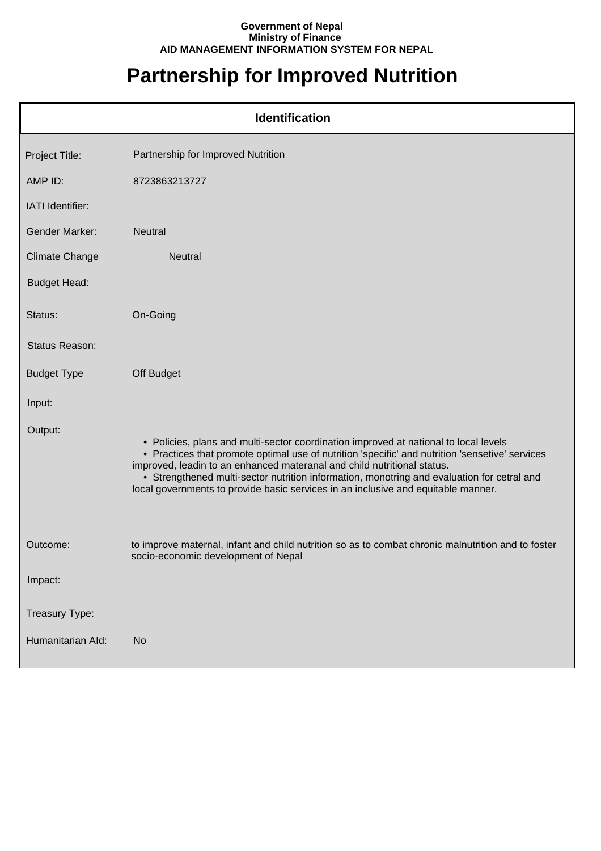## **Government of Nepal Ministry of Finance AID MANAGEMENT INFORMATION SYSTEM FOR NEPAL**

## **Partnership for Improved Nutrition**

| <b>Identification</b> |                                                                                                                                                                                                                                                                                                                                                                                                                                                       |  |
|-----------------------|-------------------------------------------------------------------------------------------------------------------------------------------------------------------------------------------------------------------------------------------------------------------------------------------------------------------------------------------------------------------------------------------------------------------------------------------------------|--|
| Project Title:        | Partnership for Improved Nutrition                                                                                                                                                                                                                                                                                                                                                                                                                    |  |
| AMP ID:               | 8723863213727                                                                                                                                                                                                                                                                                                                                                                                                                                         |  |
| IATI Identifier:      |                                                                                                                                                                                                                                                                                                                                                                                                                                                       |  |
| <b>Gender Marker:</b> | Neutral                                                                                                                                                                                                                                                                                                                                                                                                                                               |  |
| <b>Climate Change</b> | <b>Neutral</b>                                                                                                                                                                                                                                                                                                                                                                                                                                        |  |
| <b>Budget Head:</b>   |                                                                                                                                                                                                                                                                                                                                                                                                                                                       |  |
| Status:               | On-Going                                                                                                                                                                                                                                                                                                                                                                                                                                              |  |
| Status Reason:        |                                                                                                                                                                                                                                                                                                                                                                                                                                                       |  |
| <b>Budget Type</b>    | Off Budget                                                                                                                                                                                                                                                                                                                                                                                                                                            |  |
| Input:                |                                                                                                                                                                                                                                                                                                                                                                                                                                                       |  |
| Output:               | • Policies, plans and multi-sector coordination improved at national to local levels<br>• Practices that promote optimal use of nutrition 'specific' and nutrition 'sensetive' services<br>improved, leadin to an enhanced materanal and child nutritional status.<br>• Strengthened multi-sector nutrition information, monotring and evaluation for cetral and<br>local governments to provide basic services in an inclusive and equitable manner. |  |
| Outcome:              | to improve maternal, infant and child nutrition so as to combat chronic malnutrition and to foster<br>socio-economic development of Nepal                                                                                                                                                                                                                                                                                                             |  |
| Impact:               |                                                                                                                                                                                                                                                                                                                                                                                                                                                       |  |
| Treasury Type:        |                                                                                                                                                                                                                                                                                                                                                                                                                                                       |  |
| Humanitarian Ald:     | <b>No</b>                                                                                                                                                                                                                                                                                                                                                                                                                                             |  |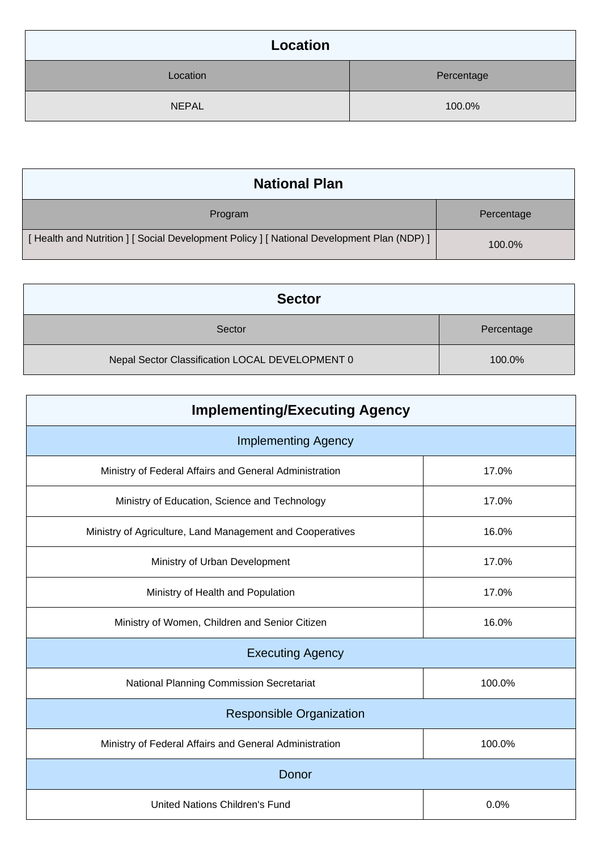| Location     |            |  |
|--------------|------------|--|
| Location     | Percentage |  |
| <b>NEPAL</b> | 100.0%     |  |

| <b>National Plan</b>                                                                    |            |  |
|-----------------------------------------------------------------------------------------|------------|--|
| Program                                                                                 | Percentage |  |
| [Health and Nutrition ] [Social Development Policy ] [National Development Plan (NDP) ] | 100.0%     |  |

| <b>Sector</b>                                   |            |
|-------------------------------------------------|------------|
| Sector                                          | Percentage |
| Nepal Sector Classification LOCAL DEVELOPMENT 0 | 100.0%     |

| <b>Implementing/Executing Agency</b>                      |        |  |
|-----------------------------------------------------------|--------|--|
| <b>Implementing Agency</b>                                |        |  |
| Ministry of Federal Affairs and General Administration    | 17.0%  |  |
| Ministry of Education, Science and Technology             | 17.0%  |  |
| Ministry of Agriculture, Land Management and Cooperatives | 16.0%  |  |
| Ministry of Urban Development                             | 17.0%  |  |
| Ministry of Health and Population                         | 17.0%  |  |
| Ministry of Women, Children and Senior Citizen            | 16.0%  |  |
| <b>Executing Agency</b>                                   |        |  |
| National Planning Commission Secretariat                  | 100.0% |  |
| <b>Responsible Organization</b>                           |        |  |
| Ministry of Federal Affairs and General Administration    | 100.0% |  |
| Donor                                                     |        |  |
| <b>United Nations Children's Fund</b>                     | 0.0%   |  |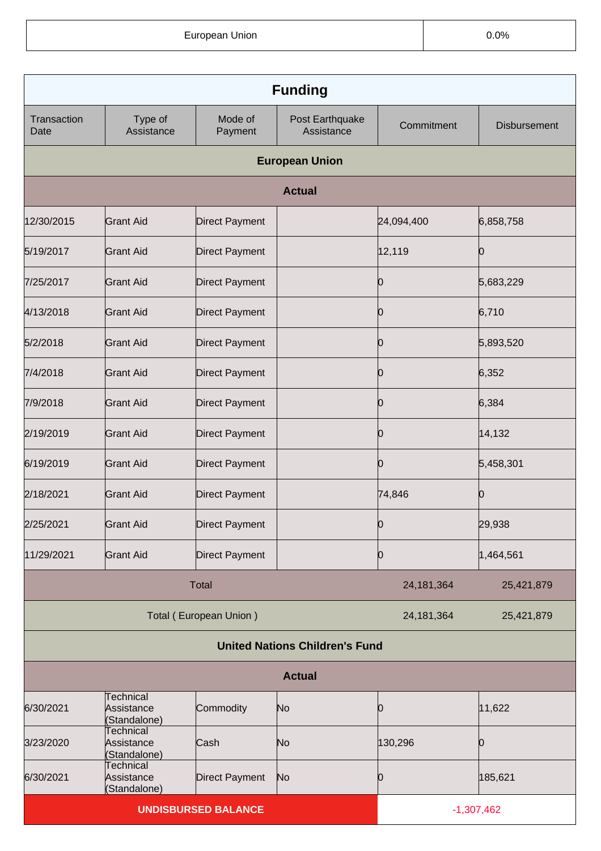European Union **Districts CONS CONS CONS CONS CONS CONS CONS CONS CONS** 

| <b>Funding</b>      |                                                |                            |                                       |              |                     |
|---------------------|------------------------------------------------|----------------------------|---------------------------------------|--------------|---------------------|
| Transaction<br>Date | Type of<br>Assistance                          | Mode of<br>Payment         | Post Earthquake<br>Assistance         | Commitment   | <b>Disbursement</b> |
|                     |                                                |                            | <b>European Union</b>                 |              |                     |
|                     |                                                |                            | <b>Actual</b>                         |              |                     |
| 12/30/2015          | <b>Grant Aid</b>                               | <b>Direct Payment</b>      |                                       | 24,094,400   | 6,858,758           |
| 5/19/2017           | <b>Grant Aid</b>                               | <b>Direct Payment</b>      |                                       | 12,119       | Ю                   |
| 7/25/2017           | <b>Grant Aid</b>                               | <b>Direct Payment</b>      |                                       | 0            | 5,683,229           |
| 4/13/2018           | <b>Grant Aid</b>                               | <b>Direct Payment</b>      |                                       | Ю            | 6,710               |
| 5/2/2018            | <b>Grant Aid</b>                               | <b>Direct Payment</b>      |                                       | 0            | 5,893,520           |
| 7/4/2018            | <b>Grant Aid</b>                               | <b>Direct Payment</b>      |                                       | Ю            | 6,352               |
| 7/9/2018            | <b>Grant Aid</b>                               | <b>Direct Payment</b>      |                                       | 0            | 6,384               |
| 2/19/2019           | <b>Grant Aid</b>                               | <b>Direct Payment</b>      |                                       | Ю            | 14, 132             |
| 6/19/2019           | <b>Grant Aid</b>                               | <b>Direct Payment</b>      |                                       | 0            | 5,458,301           |
| 2/18/2021           | <b>Grant Aid</b>                               | <b>Direct Payment</b>      |                                       | 74,846       | Ю                   |
| 2/25/2021           | Grant Aid                                      | Direct Payment             |                                       | O            | 29,938              |
| 11/29/2021          | <b>Grant Aid</b>                               | <b>Direct Payment</b>      |                                       | Ю            | 1,464,561           |
| <b>Total</b>        |                                                | 24, 181, 364               | 25,421,879                            |              |                     |
|                     |                                                | Total (European Union)     |                                       | 24, 181, 364 | 25,421,879          |
|                     |                                                |                            | <b>United Nations Children's Fund</b> |              |                     |
| <b>Actual</b>       |                                                |                            |                                       |              |                     |
| 6/30/2021           | <b>Technical</b><br>Assistance<br>(Standalone) | Commodity                  | N <sub>o</sub>                        | 0            | 11,622              |
| 3/23/2020           | Technical<br>Assistance<br>(Standalone)        | Cash                       | No                                    | 130,296      | 0                   |
| 6/30/2021           | <b>Technical</b><br>Assistance<br>(Standalone) | <b>Direct Payment</b>      | No                                    | 0            | 185,621             |
|                     |                                                | <b>UNDISBURSED BALANCE</b> |                                       |              | $-1,307,462$        |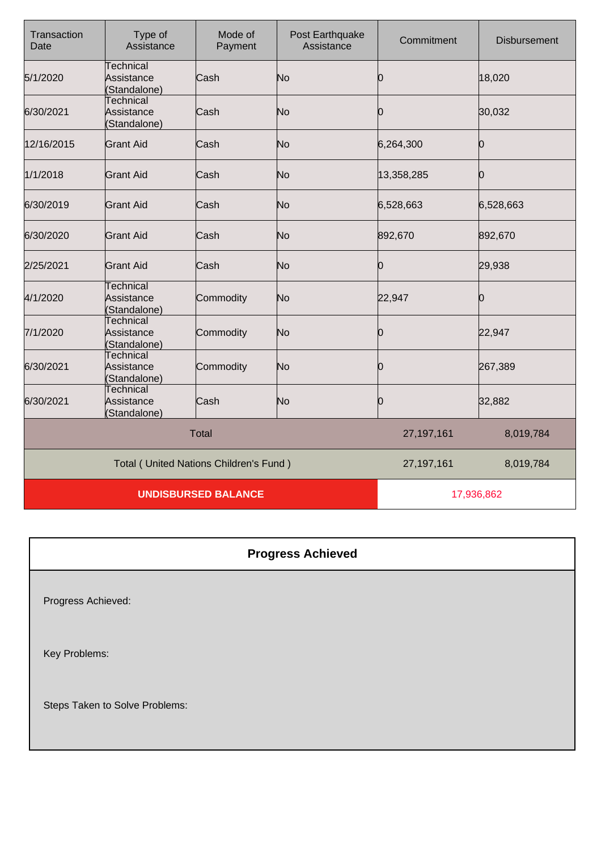| Transaction<br>Date | Type of<br>Assistance                          | Mode of<br>Payment                     | Post Earthquake<br>Assistance | Commitment   | <b>Disbursement</b> |
|---------------------|------------------------------------------------|----------------------------------------|-------------------------------|--------------|---------------------|
| 5/1/2020            | <b>Technical</b><br>Assistance<br>(Standalone) | Cash                                   | No                            | 0            | 18,020              |
| 6/30/2021           | <b>Technical</b><br>Assistance<br>(Standalone) | Cash                                   | No                            | 0            | 30,032              |
| 12/16/2015          | <b>Grant Aid</b>                               | Cash                                   | No                            | 6,264,300    | Ю                   |
| 1/1/2018            | <b>Grant Aid</b>                               | Cash                                   | No                            | 13,358,285   | Ю                   |
| 6/30/2019           | <b>Grant Aid</b>                               | Cash                                   | No                            | 6,528,663    | 6,528,663           |
| 6/30/2020           | <b>Grant Aid</b>                               | Cash                                   | No                            | 892,670      | 892,670             |
| 2/25/2021           | <b>Grant Aid</b>                               | Cash                                   | No                            | 0            | 29,938              |
| 4/1/2020            | <b>Technical</b><br>Assistance<br>(Standalone) | Commodity                              | No                            | 22,947       | Ŋ                   |
| 7/1/2020            | Technical<br>Assistance<br>(Standalone)        | Commodity                              | No                            | 0            | 22,947              |
| 6/30/2021           | <b>Technical</b><br>Assistance<br>(Standalone) | Commodity                              | No                            | 0            | 267,389             |
| 6/30/2021           | <b>Technical</b><br>Assistance<br>(Standalone) | Cash                                   | No                            | Ю            | 32,882              |
|                     |                                                | <b>Total</b>                           |                               | 27, 197, 161 | 8,019,784           |
|                     |                                                | Total (United Nations Children's Fund) |                               | 27, 197, 161 | 8,019,784           |
|                     |                                                | <b>UNDISBURSED BALANCE</b>             |                               | 17,936,862   |                     |

| <b>Progress Achieved</b>       |
|--------------------------------|
| Progress Achieved:             |
| Key Problems:                  |
| Steps Taken to Solve Problems: |